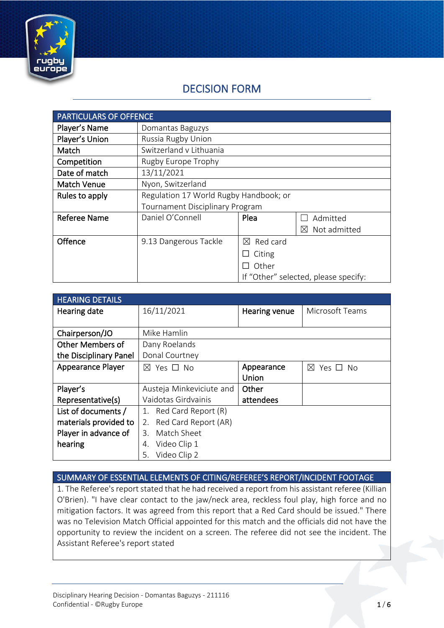

# DECISION FORM

| <b>PARTICULARS OF OFFENCE</b> |                                        |                         |                                      |
|-------------------------------|----------------------------------------|-------------------------|--------------------------------------|
| Player's Name                 | Domantas Baguzys                       |                         |                                      |
| Player's Union                | Russia Rugby Union                     |                         |                                      |
| Match                         | Switzerland v Lithuania                |                         |                                      |
| Competition                   | Rugby Europe Trophy                    |                         |                                      |
| Date of match                 | 13/11/2021                             |                         |                                      |
| <b>Match Venue</b>            | Nyon, Switzerland                      |                         |                                      |
| Rules to apply                | Regulation 17 World Rugby Handbook; or |                         |                                      |
|                               | <b>Tournament Disciplinary Program</b> |                         |                                      |
| <b>Referee Name</b>           | Daniel O'Connell                       | Plea                    | Admitted                             |
|                               |                                        |                         | Not admitted<br>M                    |
| Offence                       | 9.13 Dangerous Tackle                  | Red card<br>$\boxtimes$ |                                      |
|                               |                                        | Citing                  |                                      |
|                               |                                        | Other                   |                                      |
|                               |                                        |                         | If "Other" selected, please specify: |

| <b>HEARING DETAILS</b>   |                            |               |                         |
|--------------------------|----------------------------|---------------|-------------------------|
| Hearing date             | 16/11/2021                 | Hearing venue | Microsoft Teams         |
|                          |                            |               |                         |
| Chairperson/JO           | Mike Hamlin                |               |                         |
| Other Members of         | Dany Roelands              |               |                         |
| the Disciplinary Panel   | Donal Courtney             |               |                         |
| <b>Appearance Player</b> | $\boxtimes$ Yes $\Box$ No  | Appearance    | $\boxtimes$<br>Yes □ No |
|                          |                            | Union         |                         |
| Player's                 | Austeja Minkeviciute and   | Other         |                         |
| Representative(s)        | Vaidotas Girdvainis        | attendees     |                         |
| List of documents /      | Red Card Report (R)<br>1.  |               |                         |
| materials provided to    | Red Card Report (AR)<br>2. |               |                         |
| Player in advance of     | Match Sheet<br>3.          |               |                         |
| hearing                  | Video Clip 1<br>4.         |               |                         |
|                          | Video Clip 2<br>5.         |               |                         |

SUMMARY OF ESSENTIAL ELEMENTS OF CITING/REFEREE'S REPORT/INCIDENT FOOTAGE

1. The Referee's report stated that he had received a report from his assistant referee (Killian O'Brien). "I have clear contact to the jaw/neck area, reckless foul play, high force and no mitigation factors. It was agreed from this report that a Red Card should be issued." There was no Television Match Official appointed for this match and the officials did not have the opportunity to review the incident on a screen. The referee did not see the incident. The Assistant Referee's report stated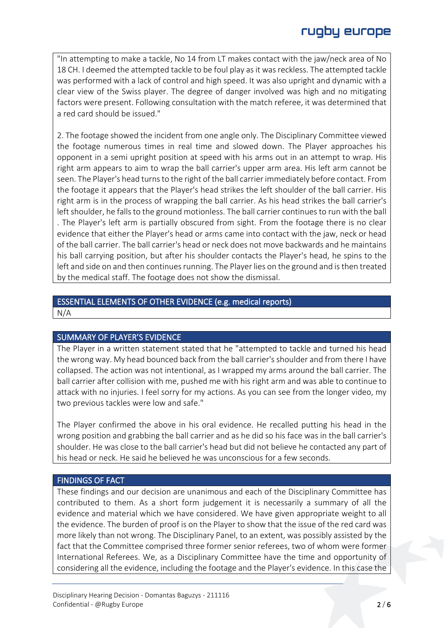"In attempting to make a tackle, No 14 from LT makes contact with the jaw/neck area of No 18 CH. I deemed the attempted tackle to be foul play as it was reckless. The attempted tackle was performed with a lack of control and high speed. It was also upright and dynamic with a clear view of the Swiss player. The degree of danger involved was high and no mitigating factors were present. Following consultation with the match referee, it was determined that a red card should be issued."

2. The footage showed the incident from one angle only. The Disciplinary Committee viewed the footage numerous times in real time and slowed down. The Player approaches his opponent in a semi upright position at speed with his arms out in an attempt to wrap. His right arm appears to aim to wrap the ball carrier's upper arm area. His left arm cannot be seen. The Player's head turns to the right of the ball carrier immediately before contact. From the footage it appears that the Player's head strikes the left shoulder of the ball carrier. His right arm is in the process of wrapping the ball carrier. As his head strikes the ball carrier's left shoulder, he falls to the ground motionless. The ball carrier continues to run with the ball . The Player's left arm is partially obscured from sight. From the footage there is no clear evidence that either the Player's head or arms came into contact with the jaw, neck or head of the ball carrier. The ball carrier's head or neck does not move backwards and he maintains his ball carrying position, but after his shoulder contacts the Player's head, he spins to the left and side on and then continues running. The Player lies on the ground and is then treated by the medical staff. The footage does not show the dismissal.

## ESSENTIAL ELEMENTS OF OTHER EVIDENCE (e.g. medical reports)

N/A

#### SUMMARY OF PLAYER'S EVIDENCE

The Player in a written statement stated that he "attempted to tackle and turned his head the wrong way. My head bounced back from the ball carrier's shoulder and from there I have collapsed. The action was not intentional, as I wrapped my arms around the ball carrier. The ball carrier after collision with me, pushed me with his right arm and was able to continue to attack with no injuries. I feel sorry for my actions. As you can see from the longer video, my two previous tackles were low and safe."

The Player confirmed the above in his oral evidence. He recalled putting his head in the wrong position and grabbing the ball carrier and as he did so his face was in the ball carrier's shoulder. He was close to the ball carrier's head but did not believe he contacted any part of his head or neck. He said he believed he was unconscious for a few seconds.

#### FINDINGS OF FACT

These findings and our decision are unanimous and each of the Disciplinary Committee has contributed to them. As a short form judgement it is necessarily a summary of all the evidence and material which we have considered. We have given appropriate weight to all the evidence. The burden of proof is on the Player to show that the issue of the red card was more likely than not wrong. The Disciplinary Panel, to an extent, was possibly assisted by the fact that the Committee comprised three former senior referees, two of whom were former International Referees. We, as a Disciplinary Committee have the time and opportunity of considering all the evidence, including the footage and the Player's evidence. In this case the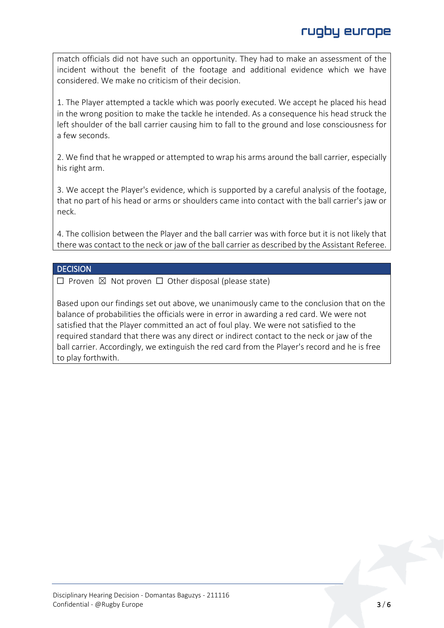match officials did not have such an opportunity. They had to make an assessment of the incident without the benefit of the footage and additional evidence which we have considered. We make no criticism of their decision.

1. The Player attempted a tackle which was poorly executed. We accept he placed his head in the wrong position to make the tackle he intended. As a consequence his head struck the left shoulder of the ball carrier causing him to fall to the ground and lose consciousness for a few seconds.

2. We find that he wrapped or attempted to wrap his arms around the ball carrier, especially his right arm.

3. We accept the Player's evidence, which is supported by a careful analysis of the footage, that no part of his head or arms or shoulders came into contact with the ball carrier's jaw or neck.

4. The collision between the Player and the ball carrier was with force but it is not likely that there was contact to the neck or jaw of the ball carrier as described by the Assistant Referee.

#### **DECISION**

 $\Box$  Proven  $\boxtimes$  Not proven  $\Box$  Other disposal (please state)

Based upon our findings set out above, we unanimously came to the conclusion that on the balance of probabilities the officials were in error in awarding a red card. We were not satisfied that the Player committed an act of foul play. We were not satisfied to the required standard that there was any direct or indirect contact to the neck or jaw of the ball carrier. Accordingly, we extinguish the red card from the Player's record and he is free to play forthwith.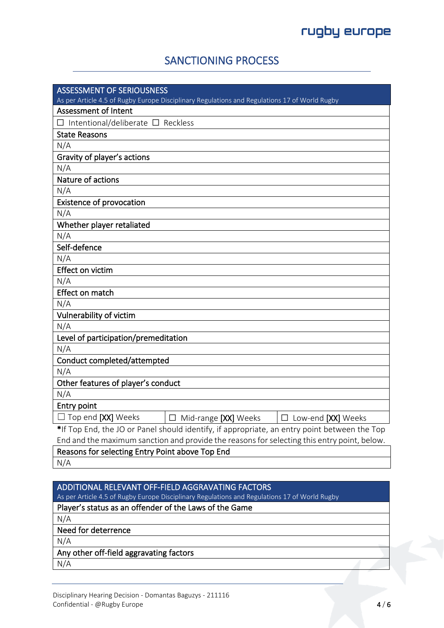## SANCTIONING PROCESS

| <b>ASSESSMENT OF SERIOUSNESS</b>                                                              |
|-----------------------------------------------------------------------------------------------|
| As per Article 4.5 of Rugby Europe Disciplinary Regulations and Regulations 17 of World Rugby |
| <b>Assessment of Intent</b>                                                                   |
| $\Box$ Intentional/deliberate $\Box$ Reckless                                                 |
| <b>State Reasons</b>                                                                          |
| N/A                                                                                           |
| Gravity of player's actions                                                                   |
| N/A                                                                                           |
| Nature of actions                                                                             |
| N/A                                                                                           |
| <b>Existence of provocation</b>                                                               |
| N/A                                                                                           |
| Whether player retaliated                                                                     |
| N/A                                                                                           |
| Self-defence                                                                                  |
| N/A                                                                                           |
| <b>Effect on victim</b>                                                                       |
| N/A                                                                                           |
| Effect on match                                                                               |
| N/A                                                                                           |
| Vulnerability of victim                                                                       |
| N/A                                                                                           |
| Level of participation/premeditation                                                          |
| N/A                                                                                           |
| Conduct completed/attempted                                                                   |
| N/A                                                                                           |
| Other features of player's conduct                                                            |
| N/A                                                                                           |
| <b>Entry point</b>                                                                            |
| $\Box$ Top end [XX] Weeks<br>$\Box$ Mid-range [XX] Weeks<br>$\Box$ Low-end [XX] Weeks         |
| *If Top End, the JO or Panel should identify, if appropriate, an entry point between the Top  |
| End and the maximum sanction and provide the reasons for selecting this entry point, below.   |
| Reasons for selecting Entry Point above Top End                                               |
| $N1/\Lambda$                                                                                  |

N/A

### ADDITIONAL RELEVANT OFF-FIELD AGGRAVATING FACTORS

As per Article 4.5 of Rugby Europe Disciplinary Regulations and Regulations 17 of World Rugby

### Player's status as an offender of the Laws of the Game

N/A

Need for deterrence

N/A

#### Any other off-field aggravating factors

N/A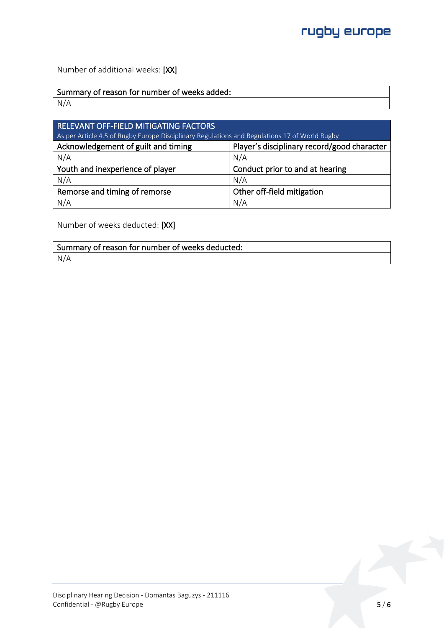Number of additional weeks: [XX]

Summary of reason for number of weeks added:

N/A

| RELEVANT OFF-FIELD MITIGATING FACTORS<br>As per Article 4.5 of Rugby Europe Disciplinary Regulations and Regulations 17 of World Rugby |                                             |  |
|----------------------------------------------------------------------------------------------------------------------------------------|---------------------------------------------|--|
| Acknowledgement of guilt and timing                                                                                                    | Player's disciplinary record/good character |  |
| N/A                                                                                                                                    | N/A                                         |  |
| Youth and inexperience of player                                                                                                       | Conduct prior to and at hearing             |  |
| N/A                                                                                                                                    | N/A                                         |  |
| Remorse and timing of remorse                                                                                                          | Other off-field mitigation                  |  |
| N/A                                                                                                                                    | N/A                                         |  |

Number of weeks deducted: [XX]

| Summary of reason for number of weeks deducted: |  |
|-------------------------------------------------|--|
| N/A                                             |  |